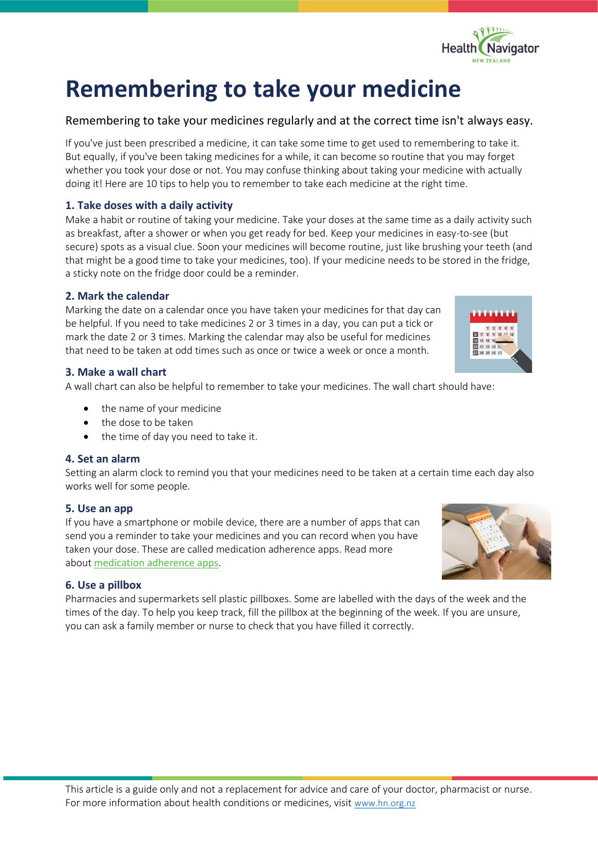# **Remembering to take your medicine**

# Remembering to take your medicines regularly and at the correct time isn't always easy.

If you've just been prescribed a medicine, it can take some time to get used to remembering to take it. But equally, if you've been taking medicines for a while, it can become so routine that you may forget whether you took your dose or not. You may confuse thinking about taking your medicine with actually doing it! Here are 10 tips to help you to remember to take each medicine at the right time.

## **1. Take doses with a daily activity**

Make a habit or routine of taking your medicine. Take your doses at the same time as a daily activity such as breakfast, after a shower or when you get ready for bed. Keep your medicines in easy-to-see (but secure) spots as a visual clue. Soon your medicines will become routine, just like brushing your teeth (and that might be a good time to take your medicines, too). If your medicine needs to be stored in the fridge, a sticky note on the fridge door could be a reminder.

## **2. Mark the calendar**

Marking the date on a calendar once you have taken your medicines for that day can be helpful. If you need to take medicines 2 or 3 times in a day, you can put a tick or mark the date 2 or 3 times. Marking the calendar may also be useful for medicines that need to be taken at odd times such as once or twice a week or once a month.

## **3. Make a wall chart**

A wall chart can also be helpful to remember to take your medicines. The wall chart should have:

- the name of your medicine
- the dose to be taken
- the time of day you need to take it.

## **4. Set an alarm**

Setting an alarm clock to remind you that your medicines need to be taken at a certain time each day also works well for some people.

## **5. Use an app**

If you have a smartphone or mobile device, there are a number of apps that can send you a reminder to take your medicines and you can record when you have taken your dose. These are called medication adherence apps. Read more about [medication adherence apps](https://www.healthnavigator.org.nz/apps/m/medication-reminder-apps/).

## **6. Use a pillbox**

Pharmacies and supermarkets sell plastic pillboxes. Some are labelled with the days of the week and the times of the day. To help you keep track, fill the pillbox at the beginning of the week. If you are unsure, you can ask a family member or nurse to check that you have filled it correctly.